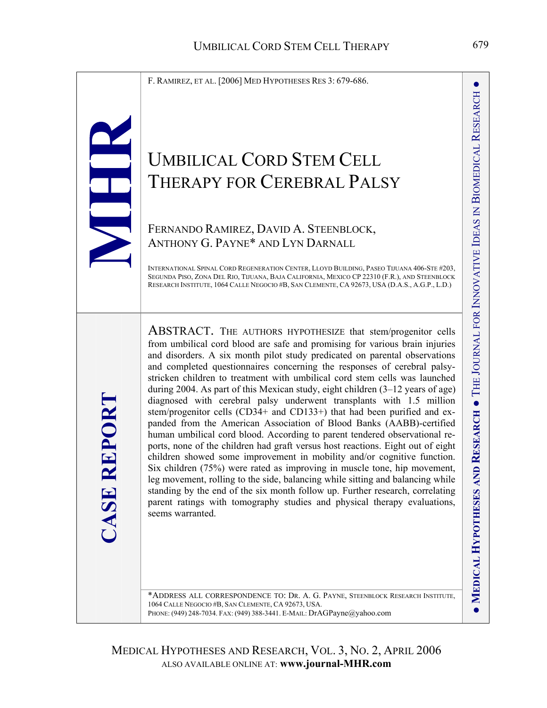F. RAMIREZ, ET AL. [2006] MED HYPOTHESES RES 3: 679-686.

# UMBILICAL CORD STEM CELL THERAPY FOR CEREBRAL PALSY

# FERNANDO RAMIREZ, DAVID A. STEENBLOCK, ANTHONY G. PAYNE\* AND LYN DARNALL

**CASE REPORT** 

**ASE REPORT** 

INTERNATIONAL SPINAL CORD REGENERATION CENTER, LLOYD BUILDING, PASEO TIJUANA 406-STE #203, SEGUNDA PISO, ZONA DEL RIO, TIJUANA, BAJA CALIFORNIA, MEXICO CP 22310 (F.R.), AND STEENBLOCK RESEARCH INSTITUTE, 1064 CALLE NEGOCIO #B, SAN CLEMENTE, CA 92673, USA (D.A.S., A.G.P., L.D.)

ABSTRACT. THE AUTHORS HYPOTHESIZE that stem/progenitor cells from umbilical cord blood are safe and promising for various brain injuries and disorders. A six month pilot study predicated on parental observations and completed questionnaires concerning the responses of cerebral palsystricken children to treatment with umbilical cord stem cells was launched during 2004. As part of this Mexican study, eight children (3–12 years of age) diagnosed with cerebral palsy underwent transplants with 1.5 million stem/progenitor cells (CD34+ and CD133+) that had been purified and expanded from the American Association of Blood Banks (AABB)-certified human umbilical cord blood. According to parent tendered observational reports, none of the children had graft versus host reactions. Eight out of eight children showed some improvement in mobility and/or cognitive function. Six children (75%) were rated as improving in muscle tone, hip movement, leg movement, rolling to the side, balancing while sitting and balancing while standing by the end of the six month follow up. Further research, correlating parent ratings with tomography studies and physical therapy evaluations, seems warranted.

\*ADDRESS ALL CORRESPONDENCE TO: DR. A. G. PAYNE, STEENBLOCK RESEARCH INSTITUTE, 1064 CALLE NEGOCIO #B, SAN CLEMENTE, CA 92673, USA. PHONE: (949) 248-7034. FAX: (949) 388-3441. E-MAIL: [DrAGPayne@yahoo.com](mailto:DrAGPayne@yahoo.com)

**MEDICAL** 

**HYPOTHESES AND** 

**RESEARCH**

**MEDICAL HYPOTHESES AND RESEARCH .** THE JOURNAL FOR INNOVATIVE IDEAS IN BIOMEDICAL RESEARCH

JOURNAL FOR INNOVATIVE IDEAS IN

BIOMEDICAL

RESEARCH

●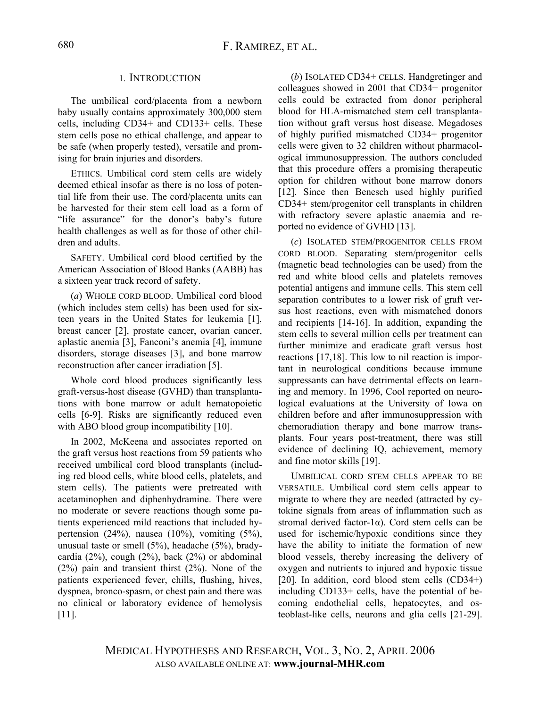## 1. INTRODUCTION

The umbilical cord/placenta from a newborn baby usually contains approximately 300,000 stem cells, including CD34+ and CD133+ cells. These stem cells pose no ethical challenge, and appear to be safe (when properly tested), versatile and promising for brain injuries and disorders.

ETHICS. Umbilical cord stem cells are widely deemed ethical insofar as there is no loss of potential life from their use. The cord/placenta units can be harvested for their stem cell load as a form of "life assurance" for the donor's baby's future health challenges as well as for those of other children and adults.

SAFETY. Umbilical cord blood certified by the American Association of Blood Banks (AABB) has a sixteen year track record of safety.

(*a*) WHOLE CORD BLOOD. Umbilical cord blood (which includes stem cells) has been used for sixteen years in the United States for leukemia [1], breast cancer [2], prostate cancer, ovarian cancer, aplastic anemia [3], Fanconi's anemia [4], immune disorders, storage diseases [3], and bone marrow reconstruction after cancer irradiation [5].

Whole cord blood produces significantly less graft-versus-host disease (GVHD) than transplantations with bone marrow or adult hematopoietic cells [6-9]. Risks are significantly reduced even with ABO blood group incompatibility [10].

In 2002, McKeena and associates reported on the graft versus host reactions from 59 patients who received umbilical cord blood transplants (including red blood cells, white blood cells, platelets, and stem cells). The patients were pretreated with acetaminophen and diphenhydramine. There were no moderate or severe reactions though some patients experienced mild reactions that included hypertension (24%), nausea (10%), vomiting (5%), unusual taste or smell (5%), headache (5%), bradycardia  $(2\%)$ , cough  $(2\%)$ , back  $(2\%)$  or abdominal (2%) pain and transient thirst (2%). None of the patients experienced fever, chills, flushing, hives, dyspnea, bronco-spasm, or chest pain and there was no clinical or laboratory evidence of hemolysis [11].

(*b*) ISOLATED CD34+ CELLS. Handgretinger and colleagues showed in 2001 that CD34+ progenitor cells could be extracted from donor peripheral blood for HLA-mismatched stem cell transplantation without graft versus host disease. Megadoses of highly purified mismatched CD34+ progenitor cells were given to 32 children without pharmacological immunosuppression. The authors concluded that this procedure offers a promising therapeutic option for children without bone marrow donors [12]. Since then Benesch used highly purified CD34+ stem/progenitor cell transplants in children with refractory severe aplastic anaemia and reported no evidence of GVHD [13].

(*c*) ISOLATED STEM/PROGENITOR CELLS FROM CORD BLOOD. Separating stem/progenitor cells (magnetic bead technologies can be used) from the red and white blood cells and platelets removes potential antigens and immune cells. This stem cell separation contributes to a lower risk of graft versus host reactions, even with mismatched donors and recipients [14-16]. In addition, expanding the stem cells to several million cells per treatment can further minimize and eradicate graft versus host reactions [17,18]. This low to nil reaction is important in neurological conditions because immune suppressants can have detrimental effects on learning and memory. In 1996, Cool reported on neurological evaluations at the University of Iowa on children before and after immunosuppression with chemoradiation therapy and bone marrow transplants. Four years post-treatment, there was still evidence of declining IQ, achievement, memory and fine motor skills [19].

UMBILICAL CORD STEM CELLS APPEAR TO BE VERSATILE. Umbilical cord stem cells appear to migrate to where they are needed (attracted by cytokine signals from areas of inflammation such as stromal derived factor-1α). Cord stem cells can be used for ischemic/hypoxic conditions since they have the ability to initiate the formation of new blood vessels, thereby increasing the delivery of oxygen and nutrients to injured and hypoxic tissue [20]. In addition, cord blood stem cells (CD34+) including CD133+ cells, have the potential of becoming endothelial cells, hepatocytes, and osteoblast-like cells, neurons and glia cells [21-29].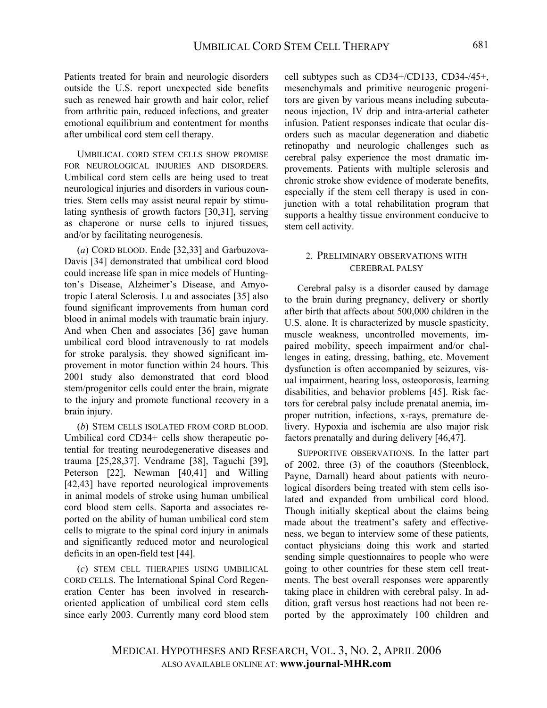Patients treated for brain and neurologic disorders outside the U.S. report unexpected side benefits such as renewed hair growth and hair color, relief from arthritic pain, reduced infections, and greater emotional equilibrium and contentment for months after umbilical cord stem cell therapy.

UMBILICAL CORD STEM CELLS SHOW PROMISE FOR NEUROLOGICAL INJURIES AND DISORDERS. Umbilical cord stem cells are being used to treat neurological injuries and disorders in various countries. Stem cells may assist neural repair by stimulating synthesis of growth factors [30,31], serving as chaperone or nurse cells to injured tissues, and/or by facilitating neurogenesis.

(*a*) CORD BLOOD. Ende [32,33] and Garbuzova-Davis [34] demonstrated that umbilical cord blood could increase life span in mice models of Huntington's Disease, Alzheimer's Disease, and Amyotropic Lateral Sclerosis. Lu and associates [35] also found significant improvements from human cord blood in animal models with traumatic brain injury. And when Chen and associates [36] gave human umbilical cord blood intravenously to rat models for stroke paralysis, they showed significant improvement in motor function within 24 hours. This 2001 study also demonstrated that cord blood stem/progenitor cells could enter the brain, migrate to the injury and promote functional recovery in a brain injury.

(*b*) STEM CELLS ISOLATED FROM CORD BLOOD. Umbilical cord CD34+ cells show therapeutic potential for treating neurodegenerative diseases and trauma [25,28,37]. Vendrame [38], Taguchi [39], Peterson [22], Newman [40,41] and Willing [42,43] have reported neurological improvements in animal models of stroke using human umbilical cord blood stem cells. Saporta and associates reported on the ability of human umbilical cord stem cells to migrate to the spinal cord injury in animals and significantly reduced motor and neurological deficits in an open-field test [44].

(*c*) STEM CELL THERAPIES USING UMBILICAL CORD CELLS. The International Spinal Cord Regeneration Center has been involved in researchoriented application of umbilical cord stem cells since early 2003. Currently many cord blood stem cell subtypes such as CD34+/CD133, CD34-/45+, mesenchymals and primitive neurogenic progenitors are given by various means including subcutaneous injection, IV drip and intra-arterial catheter infusion. Patient responses indicate that ocular disorders such as macular degeneration and diabetic retinopathy and neurologic challenges such as cerebral palsy experience the most dramatic improvements. Patients with multiple sclerosis and chronic stroke show evidence of moderate benefits, especially if the stem cell therapy is used in conjunction with a total rehabilitation program that supports a healthy tissue environment conducive to stem cell activity.

## 2. PRELIMINARY OBSERVATIONS WITH CEREBRAL PALSY

Cerebral palsy is a disorder caused by damage to the brain during pregnancy, delivery or shortly after birth that affects about 500,000 children in the U.S. alone. It is characterized by muscle spasticity, muscle weakness, uncontrolled movements, impaired mobility, speech impairment and/or challenges in eating, dressing, bathing, etc. Movement dysfunction is often accompanied by seizures, visual impairment, hearing loss, osteoporosis, learning disabilities, and behavior problems [45]. Risk factors for cerebral palsy include prenatal anemia, improper nutrition, infections, x-rays, premature delivery. Hypoxia and ischemia are also major risk factors prenatally and during delivery [46,47].

SUPPORTIVE OBSERVATIONS. In the latter part of 2002, three (3) of the coauthors (Steenblock, Payne, Darnall) heard about patients with neurological disorders being treated with stem cells isolated and expanded from umbilical cord blood. Though initially skeptical about the claims being made about the treatment's safety and effectiveness, we began to interview some of these patients, contact physicians doing this work and started sending simple questionnaires to people who were going to other countries for these stem cell treatments. The best overall responses were apparently taking place in children with cerebral palsy. In addition, graft versus host reactions had not been reported by the approximately 100 children and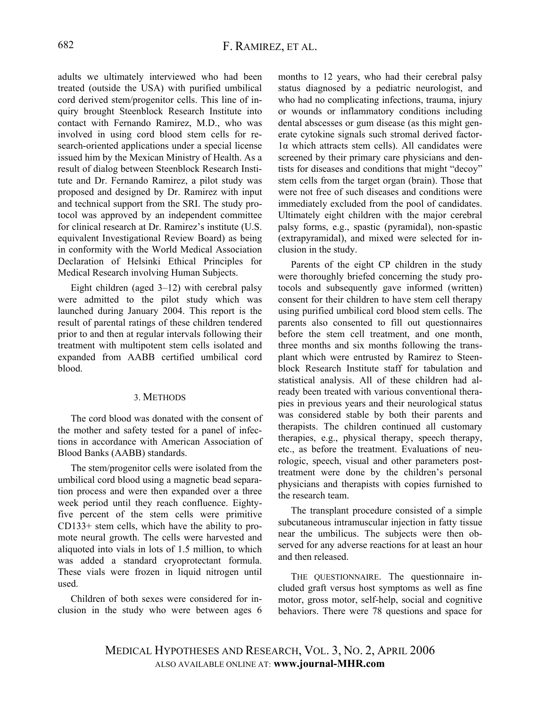adults we ultimately interviewed who had been treated (outside the USA) with purified umbilical cord derived stem/progenitor cells. This line of inquiry brought Steenblock Research Institute into contact with Fernando Ramirez, M.D., who was involved in using cord blood stem cells for research-oriented applications under a special license issued him by the Mexican Ministry of Health. As a result of dialog between Steenblock Research Institute and Dr. Fernando Ramirez, a pilot study was proposed and designed by Dr. Ramirez with input and technical support from the SRI. The study protocol was approved by an independent committee for clinical research at Dr. Ramirez's institute (U.S. equivalent Investigational Review Board) as being in conformity with the World Medical Association Declaration of Helsinki Ethical Principles for Medical Research involving Human Subjects.

Eight children (aged 3–12) with cerebral palsy were admitted to the pilot study which was launched during January 2004. This report is the result of parental ratings of these children tendered prior to and then at regular intervals following their treatment with multipotent stem cells isolated and expanded from AABB certified umbilical cord blood.

### 3. METHODS

The cord blood was donated with the consent of the mother and safety tested for a panel of infections in accordance with American Association of Blood Banks (AABB) standards.

The stem/progenitor cells were isolated from the umbilical cord blood using a magnetic bead separation process and were then expanded over a three week period until they reach confluence. Eightyfive percent of the stem cells were primitive CD133+ stem cells, which have the ability to promote neural growth. The cells were harvested and aliquoted into vials in lots of 1.5 million, to which was added a standard cryoprotectant formula. These vials were frozen in liquid nitrogen until used.

Children of both sexes were considered for inclusion in the study who were between ages 6 months to 12 years, who had their cerebral palsy status diagnosed by a pediatric neurologist, and who had no complicating infections, trauma, injury or wounds or inflammatory conditions including dental abscesses or gum disease (as this might generate cytokine signals such stromal derived factor-1α which attracts stem cells). All candidates were screened by their primary care physicians and dentists for diseases and conditions that might "decoy" stem cells from the target organ (brain). Those that were not free of such diseases and conditions were immediately excluded from the pool of candidates. Ultimately eight children with the major cerebral palsy forms, e.g., spastic (pyramidal), non-spastic (extrapyramidal), and mixed were selected for inclusion in the study.

Parents of the eight CP children in the study were thoroughly briefed concerning the study protocols and subsequently gave informed (written) consent for their children to have stem cell therapy using purified umbilical cord blood stem cells. The parents also consented to fill out questionnaires before the stem cell treatment, and one month, three months and six months following the transplant which were entrusted by Ramirez to Steenblock Research Institute staff for tabulation and statistical analysis. All of these children had already been treated with various conventional therapies in previous years and their neurological status was considered stable by both their parents and therapists. The children continued all customary therapies, e.g., physical therapy, speech therapy, etc., as before the treatment. Evaluations of neurologic, speech, visual and other parameters posttreatment were done by the children's personal physicians and therapists with copies furnished to the research team.

The transplant procedure consisted of a simple subcutaneous intramuscular injection in fatty tissue near the umbilicus. The subjects were then observed for any adverse reactions for at least an hour and then released.

THE QUESTIONNAIRE. The questionnaire included graft versus host symptoms as well as fine motor, gross motor, self-help, social and cognitive behaviors. There were 78 questions and space for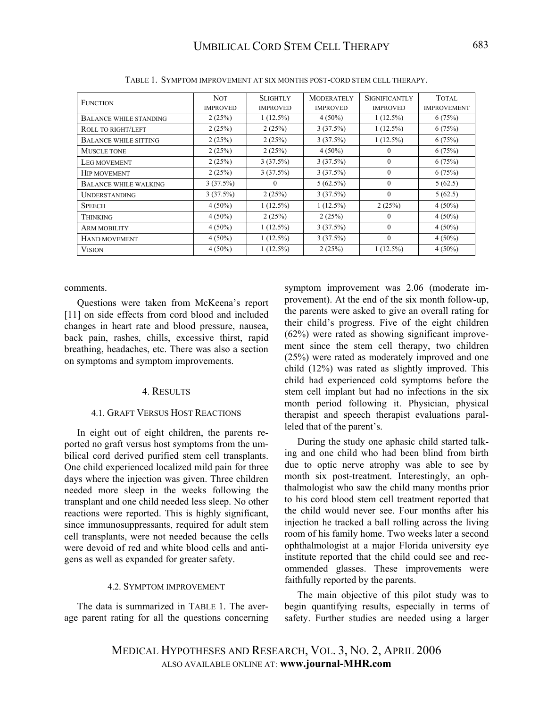| <b>FUNCTION</b>               | <b>NOT</b><br><b>IMPROVED</b> | <b>SLIGHTLY</b><br><b>IMPROVED</b> | <b>MODERATELY</b><br><b>IMPROVED</b> | <b>SIGNIFICANTLY</b><br><b>IMPROVED</b> | TOTAL<br><b>IMPROVEMENT</b> |
|-------------------------------|-------------------------------|------------------------------------|--------------------------------------|-----------------------------------------|-----------------------------|
| <b>BALANCE WHILE STANDING</b> | 2(25%)                        | $1(12.5\%)$                        | $4(50\%)$                            | $1(12.5\%)$                             | 6(75%)                      |
| ROLL TO RIGHT/LEFT            | 2(25%)                        | 2(25%)                             | 3(37.5%)                             | $1(12.5\%)$                             | 6(75%)                      |
| <b>BALANCE WHILE SITTING</b>  | 2(25%)                        | 2(25%)                             | 3(37.5%)                             | $1(12.5\%)$                             | 6(75%)                      |
| MUSCLE TONE                   | 2(25%)                        | 2(25%)                             | $4(50\%)$                            | $\mathbf{0}$                            | 6(75%)                      |
| LEG MOVEMENT                  | 2(25%)                        | 3(37.5%)                           | 3(37.5%)                             | $\theta$                                | 6(75%)                      |
| <b>HIP MOVEMENT</b>           | 2(25%)                        | 3(37.5%)                           | 3(37.5%)                             | $\mathbf{0}$                            | 6(75%)                      |
| <b>BALANCE WHILE WALKING</b>  | 3(37.5%)                      | $\theta$                           | $5(62.5\%)$                          | $\theta$                                | 5(62.5)                     |
| <b>UNDERSTANDING</b>          | 3(37.5%)                      | 2(25%)                             | 3(37.5%)                             | $\mathbf{0}$                            | 5(62.5)                     |
| <b>SPEECH</b>                 | $4(50\%)$                     | $1(12.5\%)$                        | $1(12.5\%)$                          | 2(25%)                                  | $4(50\%)$                   |
| THINKING                      | $4(50\%)$                     | 2(25%)                             | 2(25%)                               | $\Omega$                                | $4(50\%)$                   |
| <b>ARM MOBILITY</b>           | $4(50\%)$                     | $1(12.5\%)$                        | 3(37.5%)                             | $\theta$                                | $4(50\%)$                   |
| <b>HAND MOVEMENT</b>          | $4(50\%)$                     | $1(12.5\%)$                        | 3(37.5%)                             | $\Omega$                                | $4(50\%)$                   |
| <b>VISION</b>                 | $4(50\%)$                     | $1(12.5\%)$                        | 2(25%)                               | $1(12.5\%)$                             | $4(50\%)$                   |

TABLE 1. SYMPTOM IMPROVEMENT AT SIX MONTHS POST-CORD STEM CELL THERAPY.

comments.

Questions were taken from McKeena's report [11] on side effects from cord blood and included changes in heart rate and blood pressure, nausea, back pain, rashes, chills, excessive thirst, rapid breathing, headaches, etc. There was also a section on symptoms and symptom improvements.

#### 4. RESULTS

#### 4.1. GRAFT VERSUS HOST REACTIONS

In eight out of eight children, the parents reported no graft versus host symptoms from the umbilical cord derived purified stem cell transplants. One child experienced localized mild pain for three days where the injection was given. Three children needed more sleep in the weeks following the transplant and one child needed less sleep. No other reactions were reported. This is highly significant, since immunosuppressants, required for adult stem cell transplants, were not needed because the cells were devoid of red and white blood cells and antigens as well as expanded for greater safety.

#### 4.2. SYMPTOM IMPROVEMENT

The data is summarized in TABLE 1. The average parent rating for all the questions concerning symptom improvement was 2.06 (moderate improvement). At the end of the six month follow-up, the parents were asked to give an overall rating for their child's progress. Five of the eight children (62%) were rated as showing significant improvement since the stem cell therapy, two children (25%) were rated as moderately improved and one child (12%) was rated as slightly improved. This child had experienced cold symptoms before the stem cell implant but had no infections in the six month period following it. Physician, physical therapist and speech therapist evaluations paralleled that of the parent's.

During the study one aphasic child started talking and one child who had been blind from birth due to optic nerve atrophy was able to see by month six post-treatment. Interestingly, an ophthalmologist who saw the child many months prior to his cord blood stem cell treatment reported that the child would never see. Four months after his injection he tracked a ball rolling across the living room of his family home. Two weeks later a second ophthalmologist at a major Florida university eye institute reported that the child could see and recommended glasses. These improvements were faithfully reported by the parents.

The main objective of this pilot study was to begin quantifying results, especially in terms of safety. Further studies are needed using a larger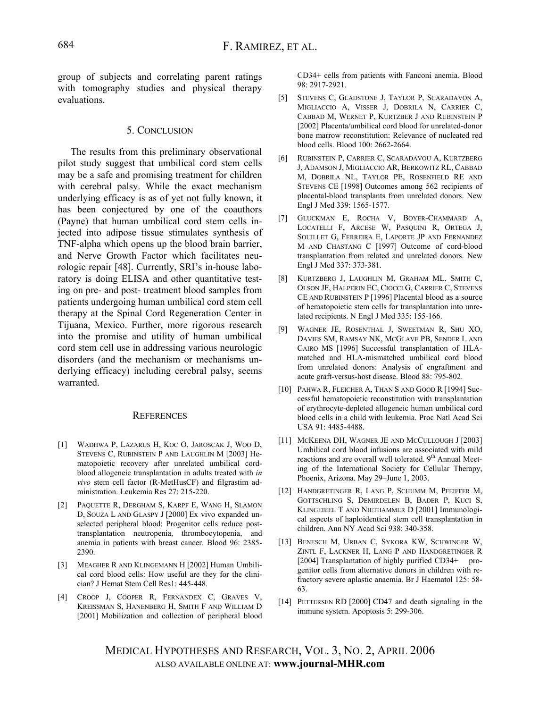group of subjects and correlating parent ratings with tomography studies and physical therapy evaluations.

#### 5. CONCLUSION

The results from this preliminary observational pilot study suggest that umbilical cord stem cells may be a safe and promising treatment for children with cerebral palsy. While the exact mechanism underlying efficacy is as of yet not fully known, it has been conjectured by one of the coauthors (Payne) that human umbilical cord stem cells injected into adipose tissue stimulates synthesis of TNF-alpha which opens up the blood brain barrier, and Nerve Growth Factor which facilitates neurologic repair [48]. Currently, SRI's in-house laboratory is doing ELISA and other quantitative testing on pre- and post- treatment blood samples from patients undergoing human umbilical cord stem cell therapy at the Spinal Cord Regeneration Center in Tijuana, Mexico. Further, more rigorous research into the promise and utility of human umbilical cord stem cell use in addressing various neurologic disorders (and the mechanism or mechanisms underlying efficacy) including cerebral palsy, seems warranted.

#### **REFERENCES**

- [1] WADHWA P, LAZARUS H, KOC O, JAROSCAK J, WOO D, STEVENS C, RUBINSTEIN P AND LAUGHLIN M [2003] Hematopoietic recovery after unrelated umbilical cordblood allogeneic transplantation in adults treated with *in vivo* stem cell factor (R-MetHusCF) and filgrastim administration. Leukemia Res 27: 215-220.
- [2] PAQUETTE R, DERGHAM S, KARPF E, WANG H, SLAMON D, SOUZA L AND GLASPY J [2000] Ex vivo expanded unselected peripheral blood: Progenitor cells reduce posttransplantation neutropenia, thrombocytopenia, and anemia in patients with breast cancer. Blood 96: 2385- 2390.
- [3] MEAGHER R AND KLINGEMANN H [2002] Human Umbilical cord blood cells: How useful are they for the clinician? J Hemat Stem Cell Res1: 445-448.
- [4] CROOP J, COOPER R, FERNANDEX C, GRAVES V, KREISSMAN S, HANENBERG H, SMITH F AND WILLIAM D [2001] Mobilization and collection of peripheral blood

CD34+ cells from patients with Fanconi anemia. Blood 98: 2917-2921.

- [5] STEVENS C, GLADSTONE J, TAYLOR P, SCARADAVON A, MIGLIACCIO A, VISSER J, DOBRILA N, CARRIER C, CABBAD M, WERNET P, KURTZBER J AND RUBINSTEIN P [2002] Placenta/umbilical cord blood for unrelated-donor bone marrow reconstitution: Relevance of nucleated red blood cells. Blood 100: 2662-2664.
- [6] [RUBINSTEIN P](http://www.ncbi.nlm.nih.gov/entrez/query.fcgi?db=pubmed&cmd=Search&itool=pubmed_Abstract&term=%22Rubinstein+P%22%5BAuthor%5D), [CARRIER C](http://www.ncbi.nlm.nih.gov/entrez/query.fcgi?db=pubmed&cmd=Search&itool=pubmed_Abstract&term=%22Carrier+C%22%5BAuthor%5D), [SCARADAVOU](http://www.ncbi.nlm.nih.gov/entrez/query.fcgi?db=pubmed&cmd=Search&itool=pubmed_Abstract&term=%22Scaradavou+A%22%5BAuthor%5D) A, [KURTZBERG](http://www.ncbi.nlm.nih.gov/entrez/query.fcgi?db=pubmed&cmd=Search&itool=pubmed_Abstract&term=%22Kurtzberg+J%22%5BAuthor%5D)  [J,](http://www.ncbi.nlm.nih.gov/entrez/query.fcgi?db=pubmed&cmd=Search&itool=pubmed_Abstract&term=%22Kurtzberg+J%22%5BAuthor%5D) [ADAMSON J,](http://www.ncbi.nlm.nih.gov/entrez/query.fcgi?db=pubmed&cmd=Search&itool=pubmed_Abstract&term=%22Adamson+J%22%5BAuthor%5D) [MIGLIACCIO AR](http://www.ncbi.nlm.nih.gov/entrez/query.fcgi?db=pubmed&cmd=Search&itool=pubmed_Abstract&term=%22Migliaccio+AR%22%5BAuthor%5D), [BERKOWITZ RL](http://www.ncbi.nlm.nih.gov/entrez/query.fcgi?db=pubmed&cmd=Search&itool=pubmed_Abstract&term=%22Berkowitz+RL%22%5BAuthor%5D), [CABBAD](http://www.ncbi.nlm.nih.gov/entrez/query.fcgi?db=pubmed&cmd=Search&itool=pubmed_Abstract&term=%22Cabbad+M%22%5BAuthor%5D)  [M,](http://www.ncbi.nlm.nih.gov/entrez/query.fcgi?db=pubmed&cmd=Search&itool=pubmed_Abstract&term=%22Cabbad+M%22%5BAuthor%5D) [DOBRILA NL](http://www.ncbi.nlm.nih.gov/entrez/query.fcgi?db=pubmed&cmd=Search&itool=pubmed_Abstract&term=%22Dobrila+NL%22%5BAuthor%5D), [TAYLOR PE](http://www.ncbi.nlm.nih.gov/entrez/query.fcgi?db=pubmed&cmd=Search&itool=pubmed_Abstract&term=%22Taylor+PE%22%5BAuthor%5D), [ROSENFIELD RE](http://www.ncbi.nlm.nih.gov/entrez/query.fcgi?db=pubmed&cmd=Search&itool=pubmed_Abstract&term=%22Rosenfield+RE%22%5BAuthor%5D) AND [STEVENS CE](http://www.ncbi.nlm.nih.gov/entrez/query.fcgi?db=pubmed&cmd=Search&itool=pubmed_Abstract&term=%22Stevens+CE%22%5BAuthor%5D) [1998] Outcomes among 562 recipients of placental-blood transplants from unrelated donors. New Engl J Med 339: 1565-1577.
- [7] [GLUCKMAN E,](http://www.ncbi.nlm.nih.gov/entrez/query.fcgi?db=pubmed&cmd=Search&itool=pubmed_Abstract&term=%22Gluckman+E%22%5BAuthor%5D) [ROCHA V](http://www.ncbi.nlm.nih.gov/entrez/query.fcgi?db=pubmed&cmd=Search&itool=pubmed_Abstract&term=%22Rocha+V%22%5BAuthor%5D), [BOYER-CHAMMARD A,](http://www.ncbi.nlm.nih.gov/entrez/query.fcgi?db=pubmed&cmd=Search&itool=pubmed_Abstract&term=%22Boyer%2DChammard+A%22%5BAuthor%5D) [LOCATELLI F,](http://www.ncbi.nlm.nih.gov/entrez/query.fcgi?db=pubmed&cmd=Search&itool=pubmed_Abstract&term=%22Locatelli+F%22%5BAuthor%5D) [ARCESE W](http://www.ncbi.nlm.nih.gov/entrez/query.fcgi?db=pubmed&cmd=Search&itool=pubmed_Abstract&term=%22Arcese+W%22%5BAuthor%5D), [PASQUINI R,](http://www.ncbi.nlm.nih.gov/entrez/query.fcgi?db=pubmed&cmd=Search&itool=pubmed_Abstract&term=%22Pasquini+R%22%5BAuthor%5D) [ORTEGA J,](http://www.ncbi.nlm.nih.gov/entrez/query.fcgi?db=pubmed&cmd=Search&itool=pubmed_Abstract&term=%22Ortega+J%22%5BAuthor%5D) [SOUILLET G](http://www.ncbi.nlm.nih.gov/entrez/query.fcgi?db=pubmed&cmd=Search&itool=pubmed_Abstract&term=%22Souillet+G%22%5BAuthor%5D), [FERREIRA E](http://www.ncbi.nlm.nih.gov/entrez/query.fcgi?db=pubmed&cmd=Search&itool=pubmed_Abstract&term=%22Ferreira+E%22%5BAuthor%5D), [LAPORTE JP](http://www.ncbi.nlm.nih.gov/entrez/query.fcgi?db=pubmed&cmd=Search&itool=pubmed_Abstract&term=%22Laporte+JP%22%5BAuthor%5D) AND [FERNANDEZ](http://www.ncbi.nlm.nih.gov/entrez/query.fcgi?db=pubmed&cmd=Search&itool=pubmed_Abstract&term=%22Fernandez+M%22%5BAuthor%5D) [M](http://www.ncbi.nlm.nih.gov/entrez/query.fcgi?db=pubmed&cmd=Search&itool=pubmed_Abstract&term=%22Fernandez+M%22%5BAuthor%5D) AND [CHASTANG C](http://www.ncbi.nlm.nih.gov/entrez/query.fcgi?db=pubmed&cmd=Search&itool=pubmed_Abstract&term=%22Chastang+C%22%5BAuthor%5D) [1997] Outcome of cord-blood transplantation from related and unrelated donors. New Engl J Med 337: 373-381.
- [8] [KURTZBERG J](http://www.ncbi.nlm.nih.gov/entrez/query.fcgi?db=pubmed&cmd=Search&itool=pubmed_Abstract&term=%22Kurtzberg+J%22%5BAuthor%5D), [LAUGHLIN M,](http://www.ncbi.nlm.nih.gov/entrez/query.fcgi?db=pubmed&cmd=Search&itool=pubmed_Abstract&term=%22Laughlin+M%22%5BAuthor%5D) [GRAHAM ML,](http://www.ncbi.nlm.nih.gov/entrez/query.fcgi?db=pubmed&cmd=Search&itool=pubmed_Abstract&term=%22Graham+ML%22%5BAuthor%5D) [SMITH C,](http://www.ncbi.nlm.nih.gov/entrez/query.fcgi?db=pubmed&cmd=Search&itool=pubmed_Abstract&term=%22Smith+C%22%5BAuthor%5D) [OLSON JF](http://www.ncbi.nlm.nih.gov/entrez/query.fcgi?db=pubmed&cmd=Search&itool=pubmed_Abstract&term=%22Olson+JF%22%5BAuthor%5D), [HALPERIN EC](http://www.ncbi.nlm.nih.gov/entrez/query.fcgi?db=pubmed&cmd=Search&itool=pubmed_Abstract&term=%22Halperin+EC%22%5BAuthor%5D), [CIOCCI G,](http://www.ncbi.nlm.nih.gov/entrez/query.fcgi?db=pubmed&cmd=Search&itool=pubmed_Abstract&term=%22Ciocci+G%22%5BAuthor%5D) [CARRIER C,](http://www.ncbi.nlm.nih.gov/entrez/query.fcgi?db=pubmed&cmd=Search&itool=pubmed_Abstract&term=%22Carrier+C%22%5BAuthor%5D) [STEVENS](http://www.ncbi.nlm.nih.gov/entrez/query.fcgi?db=pubmed&cmd=Search&itool=pubmed_Abstract&term=%22Stevens+CE%22%5BAuthor%5D) [CE](http://www.ncbi.nlm.nih.gov/entrez/query.fcgi?db=pubmed&cmd=Search&itool=pubmed_Abstract&term=%22Stevens+CE%22%5BAuthor%5D) AND [RUBINSTEIN P](http://www.ncbi.nlm.nih.gov/entrez/query.fcgi?db=pubmed&cmd=Search&itool=pubmed_Abstract&term=%22Rubinstein+P%22%5BAuthor%5D) [1996] Placental blood as a source of hematopoietic stem cells for transplantation into unrelated recipients. N Engl J Med 335: 155-166.
- [9] [WAGNER JE,](http://www.ncbi.nlm.nih.gov/entrez/query.fcgi?db=pubmed&cmd=Search&itool=pubmed_Abstract&term=%22Wagner+JE%22%5BAuthor%5D) [ROSENTHAL](http://www.ncbi.nlm.nih.gov/entrez/query.fcgi?db=pubmed&cmd=Search&itool=pubmed_Abstract&term=%22Rosenthal+J%22%5BAuthor%5D) J, [SWEETMAN](http://www.ncbi.nlm.nih.gov/entrez/query.fcgi?db=pubmed&cmd=Search&itool=pubmed_Abstract&term=%22Sweetman+R%22%5BAuthor%5D) R, [SHU XO,](http://www.ncbi.nlm.nih.gov/entrez/query.fcgi?db=pubmed&cmd=Search&itool=pubmed_Abstract&term=%22Shu+XO%22%5BAuthor%5D) [DAVIES SM](http://www.ncbi.nlm.nih.gov/entrez/query.fcgi?db=pubmed&cmd=Search&itool=pubmed_Abstract&term=%22Davies+SM%22%5BAuthor%5D), [RAMSAY NK](http://www.ncbi.nlm.nih.gov/entrez/query.fcgi?db=pubmed&cmd=Search&itool=pubmed_Abstract&term=%22Ramsay+NK%22%5BAuthor%5D), [MCGLAVE](http://www.ncbi.nlm.nih.gov/entrez/query.fcgi?db=pubmed&cmd=Search&itool=pubmed_Abstract&term=%22McGlave+PB%22%5BAuthor%5D) PB, [SENDER L](http://www.ncbi.nlm.nih.gov/entrez/query.fcgi?db=pubmed&cmd=Search&itool=pubmed_Abstract&term=%22Sender+L%22%5BAuthor%5D) AND [CAIRO MS](http://www.ncbi.nlm.nih.gov/entrez/query.fcgi?db=pubmed&cmd=Search&itool=pubmed_Abstract&term=%22Cairo+MS%22%5BAuthor%5D) [1996] Successful transplantation of HLAmatched and HLA-mismatched umbilical cord blood from unrelated donors: Analysis of engraftment and acute graft-versus-host disease. Blood 88: 795-802.
- [10] PAHWA R, FLEICHER A, THAN S AND GOOD R [1994] Successful hematopoietic reconstitution with transplantation of erythrocyte-depleted allogeneic human umbilical cord blood cells in a child with leukemia. Proc Natl Acad Sci USA 91: 4485-4488.
- [11] MCKEENA DH, WAGNER JE AND MCCULLOUGH J [2003] Umbilical cord blood infusions are associated with mild reactions and are overall well tolerated. 9<sup>th</sup> Annual Meeting of the International Society for Cellular Therapy, Phoenix, Arizona. May 29–June 1, 2003.
- [12] [HANDGRETINGER](http://www.ncbi.nlm.nih.gov/entrez/query.fcgi?db=pubmed&cmd=Search&itool=pubmed_Abstract&term=%22Handgretinger+R%22%5BAuthor%5D) R, [LANG P,](http://www.ncbi.nlm.nih.gov/entrez/query.fcgi?db=pubmed&cmd=Search&itool=pubmed_Abstract&term=%22Lang+P%22%5BAuthor%5D) [SCHUMM M](http://www.ncbi.nlm.nih.gov/entrez/query.fcgi?db=pubmed&cmd=Search&itool=pubmed_Abstract&term=%22Schumm+M%22%5BAuthor%5D), [PFEIFFER M,](http://www.ncbi.nlm.nih.gov/entrez/query.fcgi?db=pubmed&cmd=Search&itool=pubmed_Abstract&term=%22Pfeiffer+M%22%5BAuthor%5D) [GOTTSCHLING](http://www.ncbi.nlm.nih.gov/entrez/query.fcgi?db=pubmed&cmd=Search&itool=pubmed_Abstract&term=%22Gottschling+S%22%5BAuthor%5D) S, [DEMIRDELEN B](http://www.ncbi.nlm.nih.gov/entrez/query.fcgi?db=pubmed&cmd=Search&itool=pubmed_Abstract&term=%22Demirdelen+B%22%5BAuthor%5D), [BADER P,](http://www.ncbi.nlm.nih.gov/entrez/query.fcgi?db=pubmed&cmd=Search&itool=pubmed_Abstract&term=%22Bader+P%22%5BAuthor%5D) [KUCI S,](http://www.ncbi.nlm.nih.gov/entrez/query.fcgi?db=pubmed&cmd=Search&itool=pubmed_Abstract&term=%22Kuci+S%22%5BAuthor%5D) [KLINGEBIEL](http://www.ncbi.nlm.nih.gov/entrez/query.fcgi?db=pubmed&cmd=Search&itool=pubmed_Abstract&term=%22Klingebiel+T%22%5BAuthor%5D) T AND [NIETHAMMER D](http://www.ncbi.nlm.nih.gov/entrez/query.fcgi?db=pubmed&cmd=Search&itool=pubmed_Abstract&term=%22Niethammer+D%22%5BAuthor%5D) [2001] Immunological aspects of haploidentical stem cell transplantation in children. Ann NY Acad Sci 938: 340-358.
- [13] [BENESCH M](http://www.ncbi.nlm.nih.gov/entrez/query.fcgi?db=pubmed&cmd=Search&itool=pubmed_Abstract&term=%22Benesch+M%22%5BAuthor%5D), [URBAN C,](http://www.ncbi.nlm.nih.gov/entrez/query.fcgi?db=pubmed&cmd=Search&itool=pubmed_Abstract&term=%22Urban+C%22%5BAuthor%5D) [SYKORA KW](http://www.ncbi.nlm.nih.gov/entrez/query.fcgi?db=pubmed&cmd=Search&itool=pubmed_Abstract&term=%22Sykora+KW%22%5BAuthor%5D), [SCHWINGER W,](http://www.ncbi.nlm.nih.gov/entrez/query.fcgi?db=pubmed&cmd=Search&itool=pubmed_Abstract&term=%22Schwinger+W%22%5BAuthor%5D) [ZINTL F,](http://www.ncbi.nlm.nih.gov/entrez/query.fcgi?db=pubmed&cmd=Search&itool=pubmed_Abstract&term=%22Zintl+F%22%5BAuthor%5D) [LACKNER H,](http://www.ncbi.nlm.nih.gov/entrez/query.fcgi?db=pubmed&cmd=Search&itool=pubmed_Abstract&term=%22Lackner+H%22%5BAuthor%5D) [LANG](http://www.ncbi.nlm.nih.gov/entrez/query.fcgi?db=pubmed&cmd=Search&itool=pubmed_Abstract&term=%22Lang+P%22%5BAuthor%5D) P AND [HANDGRETINGER R](http://www.ncbi.nlm.nih.gov/entrez/query.fcgi?db=pubmed&cmd=Search&itool=pubmed_Abstract&term=%22Handgretinger+R%22%5BAuthor%5D) [2004] Transplantation of highly purified CD34+ progenitor cells from alternative donors in children with refractory severe aplastic anaemia. Br J Haematol 125: 58- 63.
- [14] PETTERSEN RD [2000] CD47 and death signaling in the immune system. Apoptosis 5: 299-306.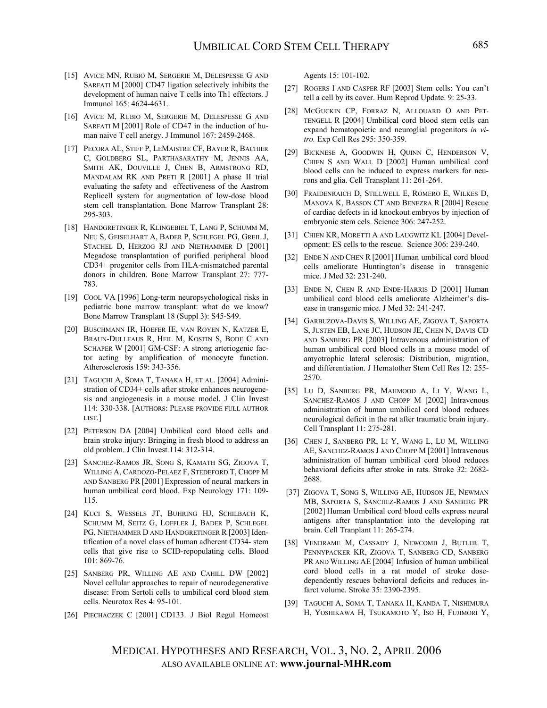- [15] AVICE MN, RUBIO M, SERGERIE M, DELESPESSE G AND SARFATI M [2000] CD47 ligation selectively inhibits the development of human naive T cells into Th1 effectors. J Immunol 165: 4624-4631.
- [16] AVICE M, RUBIO M, SERGERIE M, DELESPESSE G AND SARFATI M [2001] Role of CD47 in the induction of human naive T cell anergy. J Immunol 167: 2459-2468.
- [17] [PECORA AL](http://www.ncbi.nlm.nih.gov/entrez/query.fcgi?db=pubmed&cmd=Search&itool=pubmed_Abstract&term=%22Pecora+AL%22%5BAuthor%5D), [STIFF P](http://www.ncbi.nlm.nih.gov/entrez/query.fcgi?db=pubmed&cmd=Search&itool=pubmed_Abstract&term=%22Stiff+P%22%5BAuthor%5D), [LEMAISTRE](http://www.ncbi.nlm.nih.gov/entrez/query.fcgi?db=pubmed&cmd=Search&itool=pubmed_Abstract&term=%22LeMaistre+CF%22%5BAuthor%5D) CF, [BAYER R](http://www.ncbi.nlm.nih.gov/entrez/query.fcgi?db=pubmed&cmd=Search&itool=pubmed_Abstract&term=%22Bayer+R%22%5BAuthor%5D), BACHIER [C,](http://www.ncbi.nlm.nih.gov/entrez/query.fcgi?db=pubmed&cmd=Search&itool=pubmed_Abstract&term=%22Bachier+C%22%5BAuthor%5D) [GOLDBERG SL](http://www.ncbi.nlm.nih.gov/entrez/query.fcgi?db=pubmed&cmd=Search&itool=pubmed_Abstract&term=%22Goldberg+SL%22%5BAuthor%5D), [PARTHASARATHY M](http://www.ncbi.nlm.nih.gov/entrez/query.fcgi?db=pubmed&cmd=Search&itool=pubmed_Abstract&term=%22Parthasarathy+M%22%5BAuthor%5D), [JENNIS AA](http://www.ncbi.nlm.nih.gov/entrez/query.fcgi?db=pubmed&cmd=Search&itool=pubmed_Abstract&term=%22Jennis+AA%22%5BAuthor%5D), [SMITH AK,](http://www.ncbi.nlm.nih.gov/entrez/query.fcgi?db=pubmed&cmd=Search&itool=pubmed_Abstract&term=%22Smith+AK%22%5BAuthor%5D) [DOUVILLE J](http://www.ncbi.nlm.nih.gov/entrez/query.fcgi?db=pubmed&cmd=Search&itool=pubmed_Abstract&term=%22Douville+J%22%5BAuthor%5D), [CHEN B](http://www.ncbi.nlm.nih.gov/entrez/query.fcgi?db=pubmed&cmd=Search&itool=pubmed_Abstract&term=%22Chen+B%22%5BAuthor%5D), [ARMSTRONG RD](http://www.ncbi.nlm.nih.gov/entrez/query.fcgi?db=pubmed&cmd=Search&itool=pubmed_Abstract&term=%22Armstrong+RD%22%5BAuthor%5D), [MANDALAM RK](http://www.ncbi.nlm.nih.gov/entrez/query.fcgi?db=pubmed&cmd=Search&itool=pubmed_Abstract&term=%22Mandalam+RK%22%5BAuthor%5D) AND [PRETI R](http://www.ncbi.nlm.nih.gov/entrez/query.fcgi?db=pubmed&cmd=Search&itool=pubmed_Abstract&term=%22Preti+R%22%5BAuthor%5D) [2001] A phase II trial evaluating the safety and effectiveness of the Aastrom Replicell system for augmentation of low-dose blood stem cell transplantation. Bone Marrow Transplant 28: 295-303.
- [18] [HANDGRETINGER](http://www.ncbi.nlm.nih.gov/entrez/query.fcgi?db=pubmed&cmd=Search&itool=pubmed_Abstract&term=%22Handgretinger+R%22%5BAuthor%5D) R, [KLINGEBIEL T,](http://www.ncbi.nlm.nih.gov/entrez/query.fcgi?db=pubmed&cmd=Search&itool=pubmed_Abstract&term=%22Klingebiel+T%22%5BAuthor%5D) [LANG P](http://www.ncbi.nlm.nih.gov/entrez/query.fcgi?db=pubmed&cmd=Search&itool=pubmed_Abstract&term=%22Lang+P%22%5BAuthor%5D), [SCHUMM M](http://www.ncbi.nlm.nih.gov/entrez/query.fcgi?db=pubmed&cmd=Search&itool=pubmed_Abstract&term=%22Schumm+M%22%5BAuthor%5D), [NEU S,](http://www.ncbi.nlm.nih.gov/entrez/query.fcgi?db=pubmed&cmd=Search&itool=pubmed_Abstract&term=%22Neu+S%22%5BAuthor%5D) [GEISELHART A](http://www.ncbi.nlm.nih.gov/entrez/query.fcgi?db=pubmed&cmd=Search&itool=pubmed_Abstract&term=%22Geiselhart+A%22%5BAuthor%5D), [BADER P](http://www.ncbi.nlm.nih.gov/entrez/query.fcgi?db=pubmed&cmd=Search&itool=pubmed_Abstract&term=%22Bader+P%22%5BAuthor%5D), [SCHLEGEL PG](http://www.ncbi.nlm.nih.gov/entrez/query.fcgi?db=pubmed&cmd=Search&itool=pubmed_Abstract&term=%22Schlegel+PG%22%5BAuthor%5D), [GREIL J](http://www.ncbi.nlm.nih.gov/entrez/query.fcgi?db=pubmed&cmd=Search&itool=pubmed_Abstract&term=%22Greil+J%22%5BAuthor%5D), [STACHEL](http://www.ncbi.nlm.nih.gov/entrez/query.fcgi?db=pubmed&cmd=Search&itool=pubmed_Abstract&term=%22Stachel+D%22%5BAuthor%5D) D, [HERZOG RJ](http://www.ncbi.nlm.nih.gov/entrez/query.fcgi?db=pubmed&cmd=Search&itool=pubmed_Abstract&term=%22Herzog+RJ%22%5BAuthor%5D) AND [NIETHAMMER D](http://www.ncbi.nlm.nih.gov/entrez/query.fcgi?db=pubmed&cmd=Search&itool=pubmed_Abstract&term=%22Niethammer+D%22%5BAuthor%5D) [2001] Megadose transplantation of purified peripheral blood CD34+ progenitor cells from HLA-mismatched parental donors in children. Bone Marrow Transplant 27: 777- 783.
- [19] COOL VA [1996] Long-term neuropsychological risks in pediatric bone marrow transplant: what do we know? Bone Marrow Transplant 18 (Suppl 3): S45-S49.
- [20] [BUSCHMANN IR,](http://www.ncbi.nlm.nih.gov/entrez/query.fcgi?db=pubmed&cmd=Search&itool=pubmed_Abstract&term=%22Buschmann+IR%22%5BAuthor%5D) [HOEFER IE](http://www.ncbi.nlm.nih.gov/entrez/query.fcgi?db=pubmed&cmd=Search&itool=pubmed_Abstract&term=%22Hoefer+IE%22%5BAuthor%5D), [VAN ROYEN N](http://www.ncbi.nlm.nih.gov/entrez/query.fcgi?db=pubmed&cmd=Search&itool=pubmed_Abstract&term=%22van+Royen+N%22%5BAuthor%5D), [KATZER E](http://www.ncbi.nlm.nih.gov/entrez/query.fcgi?db=pubmed&cmd=Search&itool=pubmed_Abstract&term=%22Katzer+E%22%5BAuthor%5D), [BRAUN-DULLEAUS R](http://www.ncbi.nlm.nih.gov/entrez/query.fcgi?db=pubmed&cmd=Search&itool=pubmed_Abstract&term=%22Braun%2DDulleaus+R%22%5BAuthor%5D), [HEIL M,](http://www.ncbi.nlm.nih.gov/entrez/query.fcgi?db=pubmed&cmd=Search&itool=pubmed_Abstract&term=%22Heil+M%22%5BAuthor%5D) [KOSTIN S](http://www.ncbi.nlm.nih.gov/entrez/query.fcgi?db=pubmed&cmd=Search&itool=pubmed_Abstract&term=%22Kostin+S%22%5BAuthor%5D), [BODE C](http://www.ncbi.nlm.nih.gov/entrez/query.fcgi?db=pubmed&cmd=Search&itool=pubmed_Abstract&term=%22Bode+C%22%5BAuthor%5D) AND [SCHAPER W](http://www.ncbi.nlm.nih.gov/entrez/query.fcgi?db=pubmed&cmd=Search&itool=pubmed_Abstract&term=%22Schaper+W%22%5BAuthor%5D) [2001] GM-CSF: A strong arteriogenic factor acting by amplification of monocyte function. Atherosclerosis 159: 343-356.
- [21] TAGUCHI A, SOMA T, TANAKA H, ET AL. [2004] Administration of CD34+ cells after stroke enhances neurogenesis and angiogenesis in a mouse model. J Clin Invest 114: 330-338. [AUTHORS: PLEASE PROVIDE FULL AUTHOR LIST.]
- [22] PETERSON DA [2004] Umbilical cord blood cells and brain stroke injury: Bringing in fresh blood to address an old problem. J Clin Invest 114: 312-314.
- [23] [SANCHEZ-RAMOS](http://www.ncbi.nlm.nih.gov/entrez/query.fcgi?db=pubmed&cmd=Search&itool=pubmed_Abstract&term=%22Sanchez%2DRamos+JR%22%5BAuthor%5D) JR, [SONG S](http://www.ncbi.nlm.nih.gov/entrez/query.fcgi?db=pubmed&cmd=Search&itool=pubmed_Abstract&term=%22Song+S%22%5BAuthor%5D), [KAMATH SG,](http://www.ncbi.nlm.nih.gov/entrez/query.fcgi?db=pubmed&cmd=Search&itool=pubmed_Abstract&term=%22Kamath+SG%22%5BAuthor%5D) [ZIGOVA T](http://www.ncbi.nlm.nih.gov/entrez/query.fcgi?db=pubmed&cmd=Search&itool=pubmed_Abstract&term=%22Zigova+T%22%5BAuthor%5D), [WILLING A,](http://www.ncbi.nlm.nih.gov/entrez/query.fcgi?db=pubmed&cmd=Search&itool=pubmed_Abstract&term=%22Willing+A%22%5BAuthor%5D) [CARDOZO-PELAEZ](http://www.ncbi.nlm.nih.gov/entrez/query.fcgi?db=pubmed&cmd=Search&itool=pubmed_Abstract&term=%22Cardozo%2DPelaez+F%22%5BAuthor%5D) F, [STEDEFORD T,](http://www.ncbi.nlm.nih.gov/entrez/query.fcgi?db=pubmed&cmd=Search&itool=pubmed_Abstract&term=%22Stedeford+T%22%5BAuthor%5D) [CHOPP M](http://www.ncbi.nlm.nih.gov/entrez/query.fcgi?db=pubmed&cmd=Search&itool=pubmed_Abstract&term=%22Chopp+M%22%5BAuthor%5D) AND [SANBERG PR](http://www.ncbi.nlm.nih.gov/entrez/query.fcgi?db=pubmed&cmd=Search&itool=pubmed_Abstract&term=%22Sanberg+PR%22%5BAuthor%5D) [2001] Expression of neural markers in human umbilical cord blood. Exp Neurology 171: 109- 115.
- [24] [KUCI S](http://www.ncbi.nlm.nih.gov/entrez/query.fcgi?db=pubmed&cmd=Search&itool=pubmed_Abstract&term=%22Kuci+S%22%5BAuthor%5D), [WESSELS JT](http://www.ncbi.nlm.nih.gov/entrez/query.fcgi?db=pubmed&cmd=Search&itool=pubmed_Abstract&term=%22Wessels+JT%22%5BAuthor%5D), [BUHRING HJ,](http://www.ncbi.nlm.nih.gov/entrez/query.fcgi?db=pubmed&cmd=Search&itool=pubmed_Abstract&term=%22Buhring+HJ%22%5BAuthor%5D) [SCHILBACH K](http://www.ncbi.nlm.nih.gov/entrez/query.fcgi?db=pubmed&cmd=Search&itool=pubmed_Abstract&term=%22Schilbach+K%22%5BAuthor%5D), [SCHUMM M](http://www.ncbi.nlm.nih.gov/entrez/query.fcgi?db=pubmed&cmd=Search&itool=pubmed_Abstract&term=%22Schumm+M%22%5BAuthor%5D), [SEITZ G,](http://www.ncbi.nlm.nih.gov/entrez/query.fcgi?db=pubmed&cmd=Search&itool=pubmed_Abstract&term=%22Seitz+G%22%5BAuthor%5D) [LOFFLER J](http://www.ncbi.nlm.nih.gov/entrez/query.fcgi?db=pubmed&cmd=Search&itool=pubmed_Abstract&term=%22Loffler+J%22%5BAuthor%5D), [BADER](http://www.ncbi.nlm.nih.gov/entrez/query.fcgi?db=pubmed&cmd=Search&itool=pubmed_Abstract&term=%22Bader+P%22%5BAuthor%5D) P, [SCHLEGEL](http://www.ncbi.nlm.nih.gov/entrez/query.fcgi?db=pubmed&cmd=Search&itool=pubmed_Abstract&term=%22Schlegel+PG%22%5BAuthor%5D) [PG](http://www.ncbi.nlm.nih.gov/entrez/query.fcgi?db=pubmed&cmd=Search&itool=pubmed_Abstract&term=%22Schlegel+PG%22%5BAuthor%5D), [NIETHAMMER D](http://www.ncbi.nlm.nih.gov/entrez/query.fcgi?db=pubmed&cmd=Search&itool=pubmed_Abstract&term=%22Niethammer+D%22%5BAuthor%5D) AND [HANDGRETINGER R](http://www.ncbi.nlm.nih.gov/entrez/query.fcgi?db=pubmed&cmd=Search&itool=pubmed_Abstract&term=%22Handgretinger+R%22%5BAuthor%5D) [2003] Identification of a novel class of human adherent CD34- stem cells that give rise to SCID-repopulating cells. Blood 101: 869-76.
- [25] SANBERG PR, WILLING AE AND CAHILL DW [2002] Novel cellular approaches to repair of neurodegenerative disease: From Sertoli cells to umbilical cord blood stem cells. Neurotox Res 4: 95-101.
- [26] PIECHACZEK C [2001] CD133. J Biol Regul Homeost

Agents 15: 101-102.

- [27] ROGERS I AND CASPER RF [2003] Stem cells: You can't tell a cell by its cover. Hum Reprod Update. 9: 25-33.
- [28] MCGUCKIN CP, FORRAZ N, ALLOUARD O AND PET-TENGELL R [2004] Umbilical cord blood stem cells can expand hematopoietic and neuroglial progenitors *in vitro.* Exp Cell Res 295: 350-359.
- [29] BICKNESE A, GOODWIN H, QUINN C, HENDERSON V, CHIEN S AND WALL D [2002] Human umbilical cord blood cells can be induced to express markers for neurons and glia. Cell Transplant 11: 261-264.
- [30] [FRAIDENRAICH D,](http://www.ncbi.nlm.nih.gov/entrez/query.fcgi?db=pubmed&cmd=Search&itool=pubmed_Abstract&term=%22Fraidenraich+D%22%5BAuthor%5D) [STILLWELL](http://www.ncbi.nlm.nih.gov/entrez/query.fcgi?db=pubmed&cmd=Search&itool=pubmed_Abstract&term=%22Stillwell+E%22%5BAuthor%5D) E, [ROMERO E,](http://www.ncbi.nlm.nih.gov/entrez/query.fcgi?db=pubmed&cmd=Search&itool=pubmed_Abstract&term=%22Romero+E%22%5BAuthor%5D) [WILKES](http://www.ncbi.nlm.nih.gov/entrez/query.fcgi?db=pubmed&cmd=Search&itool=pubmed_Abstract&term=%22Wilkes+D%22%5BAuthor%5D) D, [MANOVA](http://www.ncbi.nlm.nih.gov/entrez/query.fcgi?db=pubmed&cmd=Search&itool=pubmed_Abstract&term=%22Manova+K%22%5BAuthor%5D) K, [BASSON CT](http://www.ncbi.nlm.nih.gov/entrez/query.fcgi?db=pubmed&cmd=Search&itool=pubmed_Abstract&term=%22Basson+CT%22%5BAuthor%5D) AND [BENEZRA R](http://www.ncbi.nlm.nih.gov/entrez/query.fcgi?db=pubmed&cmd=Search&itool=pubmed_Abstract&term=%22Benezra+R%22%5BAuthor%5D) [2004] Rescue of cardiac defects in id knockout embryos by injection of embryonic stem cels. Science 306: 247-252.
- [31] CHIEN KR, MORETTI A AND LAUGWITZ KL [2004] Development: ES cells to the rescue. Science 306: 239-240.
- [32] ENDE N AND CHEN R [2001] Human umbilical cord blood cells ameliorate Huntington's disease in transgenic mice. J Med 32: 231-240.
- [33] ENDE N, CHEN R AND ENDE-HARRIS D [2001] Human umbilical cord blood cells ameliorate Alzheimer's disease in transgenic mice. J Med 32: 241-247.
- [34] [GARBUZOVA-DAVIS S,](http://www.ncbi.nlm.nih.gov/entrez/query.fcgi?db=pubmed&cmd=Search&itool=pubmed_Abstract&term=%22Garbuzova%2DDavis+S%22%5BAuthor%5D) [WILLING AE](http://www.ncbi.nlm.nih.gov/entrez/query.fcgi?db=pubmed&cmd=Search&itool=pubmed_Abstract&term=%22Willing+AE%22%5BAuthor%5D), [ZIGOVA T,](http://www.ncbi.nlm.nih.gov/entrez/query.fcgi?db=pubmed&cmd=Search&itool=pubmed_Abstract&term=%22Zigova+T%22%5BAuthor%5D) [SAPORTA](http://www.ncbi.nlm.nih.gov/entrez/query.fcgi?db=pubmed&cmd=Search&itool=pubmed_Abstract&term=%22Saporta+S%22%5BAuthor%5D) [S](http://www.ncbi.nlm.nih.gov/entrez/query.fcgi?db=pubmed&cmd=Search&itool=pubmed_Abstract&term=%22Saporta+S%22%5BAuthor%5D), [JUSTEN EB](http://www.ncbi.nlm.nih.gov/entrez/query.fcgi?db=pubmed&cmd=Search&itool=pubmed_Abstract&term=%22Justen+EB%22%5BAuthor%5D), [LANE JC](http://www.ncbi.nlm.nih.gov/entrez/query.fcgi?db=pubmed&cmd=Search&itool=pubmed_Abstract&term=%22Lane+JC%22%5BAuthor%5D), [HUDSON JE,](http://www.ncbi.nlm.nih.gov/entrez/query.fcgi?db=pubmed&cmd=Search&itool=pubmed_Abstract&term=%22Hudson+JE%22%5BAuthor%5D) [CHEN N](http://www.ncbi.nlm.nih.gov/entrez/query.fcgi?db=pubmed&cmd=Search&itool=pubmed_Abstract&term=%22Chen+N%22%5BAuthor%5D), [DAVIS CD](http://www.ncbi.nlm.nih.gov/entrez/query.fcgi?db=pubmed&cmd=Search&itool=pubmed_Abstract&term=%22Davis+CD%22%5BAuthor%5D) AND [SANBERG PR](http://www.ncbi.nlm.nih.gov/entrez/query.fcgi?db=pubmed&cmd=Search&itool=pubmed_Abstract&term=%22Sanberg+PR%22%5BAuthor%5D) [2003] Intravenous administration of human umbilical cord blood cells in a mouse model of amyotrophic lateral sclerosis: Distribution, migration, and differentiation. J Hematother Stem Cell Res 12: 255- 2570.
- [35] [LU D](http://www.ncbi.nlm.nih.gov/entrez/query.fcgi?db=pubmed&cmd=Search&itool=pubmed_Abstract&term=%22Lu+D%22%5BAuthor%5D), [SANBERG PR](http://www.ncbi.nlm.nih.gov/entrez/query.fcgi?db=pubmed&cmd=Search&itool=pubmed_Abstract&term=%22Sanberg+PR%22%5BAuthor%5D), [MAHMOOD A](http://www.ncbi.nlm.nih.gov/entrez/query.fcgi?db=pubmed&cmd=Search&itool=pubmed_Abstract&term=%22Mahmood+A%22%5BAuthor%5D), [LI Y,](http://www.ncbi.nlm.nih.gov/entrez/query.fcgi?db=pubmed&cmd=Search&itool=pubmed_Abstract&term=%22Li+Y%22%5BAuthor%5D) [WANG](http://www.ncbi.nlm.nih.gov/entrez/query.fcgi?db=pubmed&cmd=Search&itool=pubmed_Abstract&term=%22Wang+L%22%5BAuthor%5D) L, [SANCHEZ-RAMOS](http://www.ncbi.nlm.nih.gov/entrez/query.fcgi?db=pubmed&cmd=Search&itool=pubmed_Abstract&term=%22Sanchez%2DRamos+J%22%5BAuthor%5D) J AND [CHOPP](http://www.ncbi.nlm.nih.gov/entrez/query.fcgi?db=pubmed&cmd=Search&itool=pubmed_Abstract&term=%22Chopp+M%22%5BAuthor%5D) M [2002] Intravenous administration of human umbilical cord blood reduces neurological deficit in the rat after traumatic brain injury. Cell Transplant 11: 275-281.
- [36] [CHEN J](http://www.ncbi.nlm.nih.gov/entrez/query.fcgi?db=pubmed&cmd=Search&itool=pubmed_Abstract&term=%22Chen+J%22%5BAuthor%5D), [SANBERG PR](http://www.ncbi.nlm.nih.gov/entrez/query.fcgi?db=pubmed&cmd=Search&itool=pubmed_Abstract&term=%22Sanberg+PR%22%5BAuthor%5D), [LI Y](http://www.ncbi.nlm.nih.gov/entrez/query.fcgi?db=pubmed&cmd=Search&itool=pubmed_Abstract&term=%22Li+Y%22%5BAuthor%5D), [WANG L](http://www.ncbi.nlm.nih.gov/entrez/query.fcgi?db=pubmed&cmd=Search&itool=pubmed_Abstract&term=%22Wang+L%22%5BAuthor%5D), [LU M,](http://www.ncbi.nlm.nih.gov/entrez/query.fcgi?db=pubmed&cmd=Search&itool=pubmed_Abstract&term=%22Lu+M%22%5BAuthor%5D) [WILLING](http://www.ncbi.nlm.nih.gov/entrez/query.fcgi?db=pubmed&cmd=Search&itool=pubmed_Abstract&term=%22Willing+AE%22%5BAuthor%5D) [AE](http://www.ncbi.nlm.nih.gov/entrez/query.fcgi?db=pubmed&cmd=Search&itool=pubmed_Abstract&term=%22Willing+AE%22%5BAuthor%5D), [SANCHEZ-RAMOS J](http://www.ncbi.nlm.nih.gov/entrez/query.fcgi?db=pubmed&cmd=Search&itool=pubmed_Abstract&term=%22Sanchez%2DRamos+J%22%5BAuthor%5D) AND [CHOPP M](http://www.ncbi.nlm.nih.gov/entrez/query.fcgi?db=pubmed&cmd=Search&itool=pubmed_Abstract&term=%22Chopp+M%22%5BAuthor%5D) [2001] Intravenous administration of human umbilical cord blood reduces behavioral deficits after stroke in rats. Stroke 32: 2682- 2688.
- [37] [ZIGOVA T](http://www.ncbi.nlm.nih.gov/entrez/query.fcgi?db=pubmed&cmd=Search&itool=pubmed_Abstract&term=%22Zigova+T%22%5BAuthor%5D), [SONG S](http://www.ncbi.nlm.nih.gov/entrez/query.fcgi?db=pubmed&cmd=Search&itool=pubmed_Abstract&term=%22Song+S%22%5BAuthor%5D), [WILLING](http://www.ncbi.nlm.nih.gov/entrez/query.fcgi?db=pubmed&cmd=Search&itool=pubmed_Abstract&term=%22Willing+AE%22%5BAuthor%5D) AE, [HUDSON](http://www.ncbi.nlm.nih.gov/entrez/query.fcgi?db=pubmed&cmd=Search&itool=pubmed_Abstract&term=%22Hudson+JE%22%5BAuthor%5D) JE, [NEWMAN](http://www.ncbi.nlm.nih.gov/entrez/query.fcgi?db=pubmed&cmd=Search&itool=pubmed_Abstract&term=%22Newman+MB%22%5BAuthor%5D)  [MB](http://www.ncbi.nlm.nih.gov/entrez/query.fcgi?db=pubmed&cmd=Search&itool=pubmed_Abstract&term=%22Newman+MB%22%5BAuthor%5D), [SAPORTA S](http://www.ncbi.nlm.nih.gov/entrez/query.fcgi?db=pubmed&cmd=Search&itool=pubmed_Abstract&term=%22Saporta+S%22%5BAuthor%5D), [SANCHEZ-RAMOS J](http://www.ncbi.nlm.nih.gov/entrez/query.fcgi?db=pubmed&cmd=Search&itool=pubmed_Abstract&term=%22Sanchez%2DRamos+J%22%5BAuthor%5D) AND [SANBERG PR](http://www.ncbi.nlm.nih.gov/entrez/query.fcgi?db=pubmed&cmd=Search&itool=pubmed_Abstract&term=%22Sanberg+PR%22%5BAuthor%5D) [2002] Human Umbilical cord blood cells express neural antigens after transplantation into the developing rat brain. Cell Tranplant 11: 265-274.
- [38] [VENDRAME M](http://www.ncbi.nlm.nih.gov/entrez/query.fcgi?db=pubmed&cmd=Search&itool=pubmed_Abstract&term=%22Vendrame+M%22%5BAuthor%5D), [CASSADY J](http://www.ncbi.nlm.nih.gov/entrez/query.fcgi?db=pubmed&cmd=Search&itool=pubmed_Abstract&term=%22Cassady+J%22%5BAuthor%5D), [NEWCOMB J](http://www.ncbi.nlm.nih.gov/entrez/query.fcgi?db=pubmed&cmd=Search&itool=pubmed_Abstract&term=%22Newcomb+J%22%5BAuthor%5D), [BUTLER T,](http://www.ncbi.nlm.nih.gov/entrez/query.fcgi?db=pubmed&cmd=Search&itool=pubmed_Abstract&term=%22Butler+T%22%5BAuthor%5D) [PENNYPACKER KR](http://www.ncbi.nlm.nih.gov/entrez/query.fcgi?db=pubmed&cmd=Search&itool=pubmed_Abstract&term=%22Pennypacker+KR%22%5BAuthor%5D), [ZIGOVA T,](http://www.ncbi.nlm.nih.gov/entrez/query.fcgi?db=pubmed&cmd=Search&itool=pubmed_Abstract&term=%22Zigova+T%22%5BAuthor%5D) [SANBERG](http://www.ncbi.nlm.nih.gov/entrez/query.fcgi?db=pubmed&cmd=Search&itool=pubmed_Abstract&term=%22Sanberg+CD%22%5BAuthor%5D) CD, [SANBERG](http://www.ncbi.nlm.nih.gov/entrez/query.fcgi?db=pubmed&cmd=Search&itool=pubmed_Abstract&term=%22Sanberg+PR%22%5BAuthor%5D) [PR](http://www.ncbi.nlm.nih.gov/entrez/query.fcgi?db=pubmed&cmd=Search&itool=pubmed_Abstract&term=%22Sanberg+PR%22%5BAuthor%5D) AND [WILLING](http://www.ncbi.nlm.nih.gov/entrez/query.fcgi?db=pubmed&cmd=Search&itool=pubmed_Abstract&term=%22Willing+AE%22%5BAuthor%5D) AE [2004] Infusion of human umbilical cord blood cells in a rat model of stroke dosedependently rescues behavioral deficits and reduces infarct volume. Stroke 35: 2390-2395.
- [39] [TAGUCHI A](http://www.ncbi.nlm.nih.gov/entrez/query.fcgi?db=pubmed&cmd=Search&itool=pubmed_Abstract&term=%22Taguchi+A%22%5BAuthor%5D), [SOMA](http://www.ncbi.nlm.nih.gov/entrez/query.fcgi?db=pubmed&cmd=Search&itool=pubmed_Abstract&term=%22Soma+T%22%5BAuthor%5D) T, [TANAKA H](http://www.ncbi.nlm.nih.gov/entrez/query.fcgi?db=pubmed&cmd=Search&itool=pubmed_Abstract&term=%22Tanaka+H%22%5BAuthor%5D), [KANDA T](http://www.ncbi.nlm.nih.gov/entrez/query.fcgi?db=pubmed&cmd=Search&itool=pubmed_Abstract&term=%22Kanda+T%22%5BAuthor%5D), [NISHIMURA](http://www.ncbi.nlm.nih.gov/entrez/query.fcgi?db=pubmed&cmd=Search&itool=pubmed_Abstract&term=%22Nishimura+H%22%5BAuthor%5D)  [H,](http://www.ncbi.nlm.nih.gov/entrez/query.fcgi?db=pubmed&cmd=Search&itool=pubmed_Abstract&term=%22Nishimura+H%22%5BAuthor%5D) [YOSHIKAWA H](http://www.ncbi.nlm.nih.gov/entrez/query.fcgi?db=pubmed&cmd=Search&itool=pubmed_Abstract&term=%22Yoshikawa+H%22%5BAuthor%5D), [TSUKAMOTO Y](http://www.ncbi.nlm.nih.gov/entrez/query.fcgi?db=pubmed&cmd=Search&itool=pubmed_Abstract&term=%22Tsukamoto+Y%22%5BAuthor%5D), [ISO H,](http://www.ncbi.nlm.nih.gov/entrez/query.fcgi?db=pubmed&cmd=Search&itool=pubmed_Abstract&term=%22Iso+H%22%5BAuthor%5D) [FUJIMORI Y,](http://www.ncbi.nlm.nih.gov/entrez/query.fcgi?db=pubmed&cmd=Search&itool=pubmed_Abstract&term=%22Fujimori+Y%22%5BAuthor%5D)